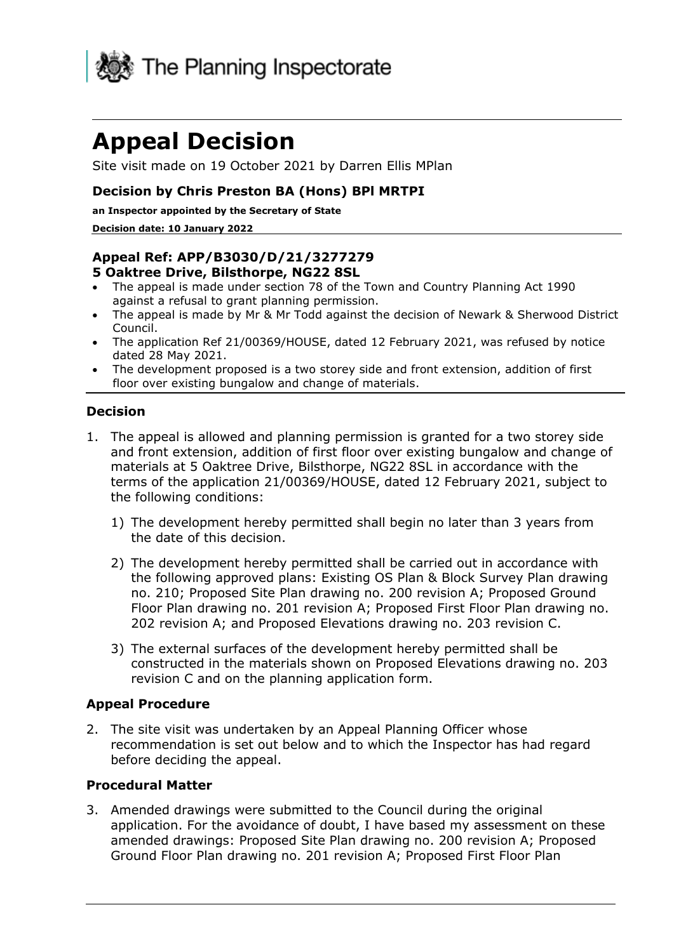

# **Appeal Decision**

Site visit made on 19 October 2021 by Darren Ellis MPlan

#### **Decision by Chris Preston BA (Hons) BPl MRTPI**

**an Inspector appointed by the Secretary of State** 

#### **Decision date: 10 January 2022**

#### **Appeal Ref: APP/B3030/D/21/3277279 5 Oaktree Drive, Bilsthorpe, NG22 8SL**

- The appeal is made under section 78 of the Town and Country Planning Act 1990 against a refusal to grant planning permission.
- The appeal is made by Mr & Mr Todd against the decision of Newark & Sherwood District Council.
- The application Ref 21/00369/HOUSE, dated 12 February 2021, was refused by notice dated 28 May 2021.
- The development proposed is a two storey side and front extension, addition of first floor over existing bungalow and change of materials.

#### **Decision**

- 1. The appeal is allowed and planning permission is granted for a two storey side and front extension, addition of first floor over existing bungalow and change of materials at 5 Oaktree Drive, Bilsthorpe, NG22 8SL in accordance with the terms of the application 21/00369/HOUSE, dated 12 February 2021, subject to the following conditions:
	- 1) The development hereby permitted shall begin no later than 3 years from the date of this decision.
	- 2) The development hereby permitted shall be carried out in accordance with the following approved plans: Existing OS Plan & Block Survey Plan drawing no. 210; Proposed Site Plan drawing no. 200 revision A; Proposed Ground Floor Plan drawing no. 201 revision A; Proposed First Floor Plan drawing no. 202 revision A; and Proposed Elevations drawing no. 203 revision C.
	- 3) The external surfaces of the development hereby permitted shall be constructed in the materials shown on Proposed Elevations drawing no. 203 revision C and on the planning application form.

#### **Appeal Procedure**

2. The site visit was undertaken by an Appeal Planning Officer whose recommendation is set out below and to which the Inspector has had regard before deciding the appeal.

#### **Procedural Matter**

3. Amended drawings were submitted to the Council during the original application. For the avoidance of doubt, I have based my assessment on these amended drawings: Proposed Site Plan drawing no. 200 revision A; Proposed Ground Floor Plan drawing no. 201 revision A; Proposed First Floor Plan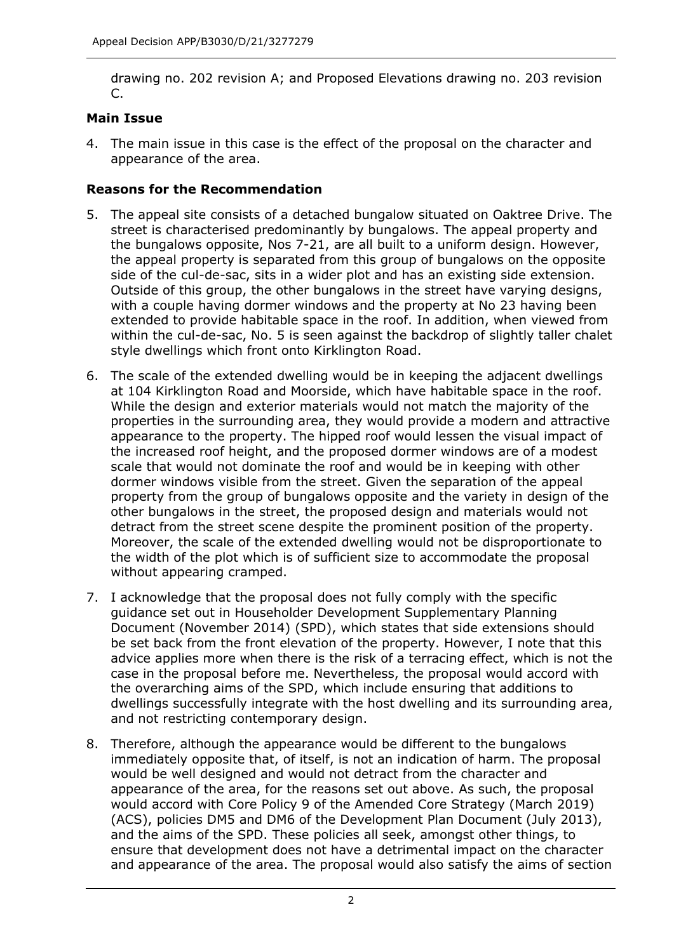drawing no. 202 revision A; and Proposed Elevations drawing no. 203 revision  $\mathcal{C}$ 

## **Main Issue**

4. The main issue in this case is the effect of the proposal on the character and appearance of the area.

## **Reasons for the Recommendation**

- 5. The appeal site consists of a detached bungalow situated on Oaktree Drive. The street is characterised predominantly by bungalows. The appeal property and the bungalows opposite, Nos 7-21, are all built to a uniform design. However, the appeal property is separated from this group of bungalows on the opposite side of the cul-de-sac, sits in a wider plot and has an existing side extension. Outside of this group, the other bungalows in the street have varying designs, with a couple having dormer windows and the property at No 23 having been extended to provide habitable space in the roof. In addition, when viewed from within the cul-de-sac, No. 5 is seen against the backdrop of slightly taller chalet style dwellings which front onto Kirklington Road.
- 6. The scale of the extended dwelling would be in keeping the adjacent dwellings at 104 Kirklington Road and Moorside, which have habitable space in the roof. While the design and exterior materials would not match the majority of the properties in the surrounding area, they would provide a modern and attractive appearance to the property. The hipped roof would lessen the visual impact of the increased roof height, and the proposed dormer windows are of a modest scale that would not dominate the roof and would be in keeping with other dormer windows visible from the street. Given the separation of the appeal property from the group of bungalows opposite and the variety in design of the other bungalows in the street, the proposed design and materials would not detract from the street scene despite the prominent position of the property. Moreover, the scale of the extended dwelling would not be disproportionate to the width of the plot which is of sufficient size to accommodate the proposal without appearing cramped.
- 7. I acknowledge that the proposal does not fully comply with the specific guidance set out in Householder Development Supplementary Planning Document (November 2014) (SPD), which states that side extensions should be set back from the front elevation of the property. However, I note that this advice applies more when there is the risk of a terracing effect, which is not the case in the proposal before me. Nevertheless, the proposal would accord with the overarching aims of the SPD, which include ensuring that additions to dwellings successfully integrate with the host dwelling and its surrounding area, and not restricting contemporary design.
- 8. Therefore, although the appearance would be different to the bungalows immediately opposite that, of itself, is not an indication of harm. The proposal would be well designed and would not detract from the character and appearance of the area, for the reasons set out above. As such, the proposal would accord with Core Policy 9 of the Amended Core Strategy (March 2019) (ACS), policies DM5 and DM6 of the Development Plan Document (July 2013), and the aims of the SPD. These policies all seek, amongst other things, to ensure that development does not have a detrimental impact on the character and appearance of the area. The proposal would also satisfy the aims of section